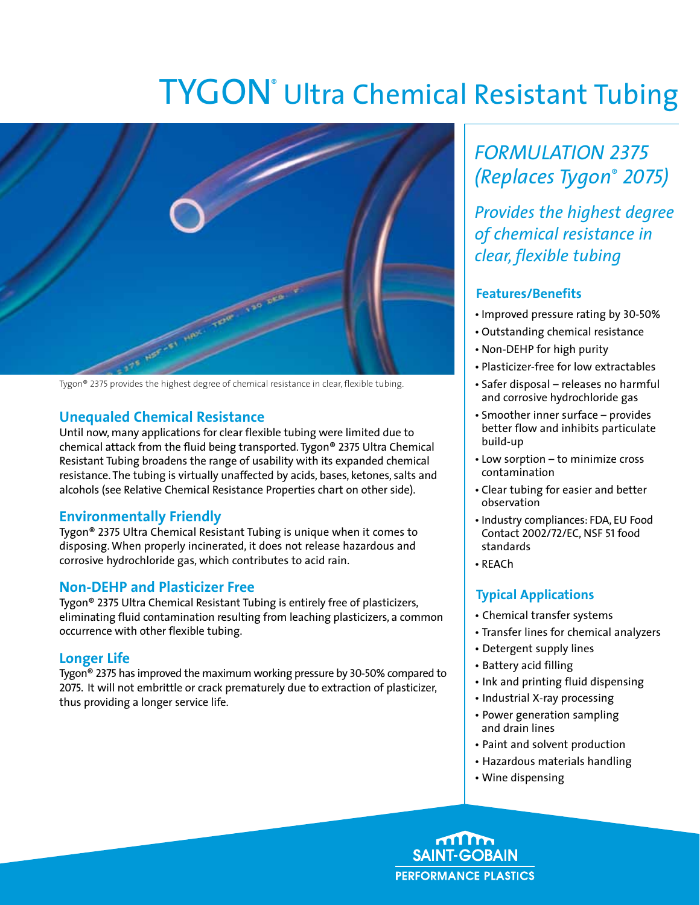# TYGON<sup>®</sup> Ultra Chemical Resistant Tubing



Tygon® 2375 provides the highest degree of chemical resistance in clear, flexible tubing.

### **Unequaled Chemical Resistance**

Until now, many applications for clear flexible tubing were limited due to chemical attack from the fluid being transported. Tygon® 2375 Ultra Chemical Resistant Tubing broadens the range of usability with its expanded chemical resistance. The tubing is virtually unaffected by acids, bases, ketones, salts and alcohols (see Relative Chemical Resistance Properties chart on other side).

### **Environmentally Friendly**

Tygon® 2375 Ultra Chemical Resistant Tubing is unique when it comes to disposing. When properly incinerated, it does not release hazardous and corrosive hydrochloride gas, which contributes to acid rain.

#### **Non-DEHP and Plasticizer Free**

Tygon® 2375 Ultra Chemical Resistant Tubing is entirely free of plasticizers, eliminating fluid contamination resulting from leaching plasticizers, a common occurrence with other flexible tubing.

### **Longer Life**

Tygon® 2375 has improved the maximum working pressure by 30-50% compared to 2075. It will not embrittle or crack prematurely due to extraction of plasticizer, thus providing a longer service life.

## *Formulation 2375 (Replaces Tygon*® *2075)*

*Provides the highest degree of chemical resistance in clear, flexible tubing* 

#### **Features/Benefits**

- Improved pressure rating by 30-50%
- Outstanding chemical resistance
- Non-DEHP for high purity
- Plasticizer-free for low extractables
- Safer disposal releases no harmful and corrosive hydrochloride gas
- Smoother inner surface provides better flow and inhibits particulate build-up
- Low sorption to minimize cross contamination
- Clear tubing for easier and better observation
- Industry compliances: FDA, EU Food Contact 2002/72/EC, NSF 51 food standards
- REACh

### **Typical Applications**

- Chemical transfer systems
- Transfer lines for chemical analyzers
- Detergent supply lines
- Battery acid filling
- Ink and printing fluid dispensing
- Industrial X-ray processing
- Power generation sampling and drain lines
- Paint and solvent production
- Hazardous materials handling
- Wine dispensing

**SAINT-GOBAIN PERFORMANCE PLASTICS**